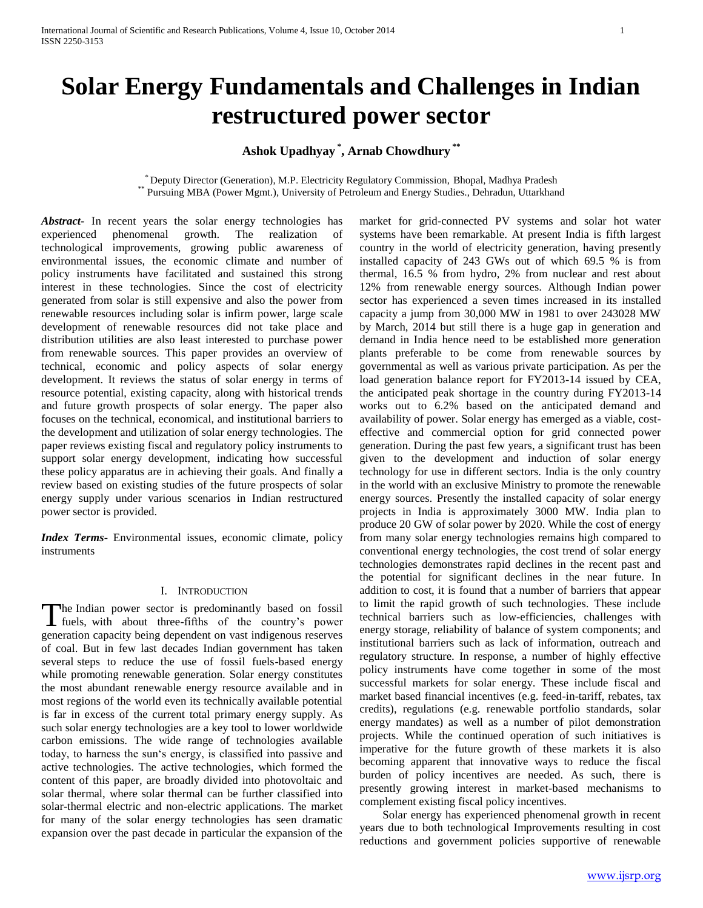# **Solar Energy Fundamentals and Challenges in Indian restructured power sector**

# **Ashok Upadhyay \* , Arnab Chowdhury \*\***

\* Deputy Director (Generation), M.P. Electricity Regulatory Commission, Bhopal, Madhya Pradesh \*\* Pursuing MBA (Power Mgmt.), University of Petroleum and Energy Studies., Dehradun, Uttarkhand

*Abstract***-** In recent years the solar energy technologies has experienced phenomenal growth. The realization of technological improvements, growing public awareness of environmental issues, the economic climate and number of policy instruments have facilitated and sustained this strong interest in these technologies. Since the cost of electricity generated from solar is still expensive and also the power from renewable resources including solar is infirm power, large scale development of renewable resources did not take place and distribution utilities are also least interested to purchase power from renewable sources. This paper provides an overview of technical, economic and policy aspects of solar energy development. It reviews the status of solar energy in terms of resource potential, existing capacity, along with historical trends and future growth prospects of solar energy. The paper also focuses on the technical, economical, and institutional barriers to the development and utilization of solar energy technologies. The paper reviews existing fiscal and regulatory policy instruments to support solar energy development, indicating how successful these policy apparatus are in achieving their goals. And finally a review based on existing studies of the future prospects of solar energy supply under various scenarios in Indian restructured power sector is provided.

*Index Terms*- Environmental issues, economic climate, policy instruments

#### I. INTRODUCTION

The Indian power sector is predominantly based on fossil The Indian power sector is predominantly based on fossil fuels, with about three-fifths of the country's power generation capacity being dependent on vast indigenous reserves of coal. But in few last decades Indian government has taken several steps to reduce the use of fossil fuels-based energy while promoting renewable generation. Solar energy constitutes the most abundant renewable energy resource available and in most regions of the world even its technically available potential is far in excess of the current total primary energy supply. As such solar energy technologies are a key tool to lower worldwide carbon emissions. The wide range of technologies available today, to harness the sun"s energy, is classified into passive and active technologies. The active technologies, which formed the content of this paper, are broadly divided into photovoltaic and solar thermal, where solar thermal can be further classified into solar-thermal electric and non-electric applications. The market for many of the solar energy technologies has seen dramatic expansion over the past decade in particular the expansion of the

market for grid-connected PV systems and solar hot water systems have been remarkable. At present India is fifth largest country in the world of electricity generation, having presently installed capacity of 243 GWs out of which 69.5 % is from thermal, 16.5 % from hydro, 2% from nuclear and rest about 12% from renewable energy sources. Although Indian power sector has experienced a seven times increased in its installed capacity a jump from 30,000 MW in 1981 to over 243028 MW by March, 2014 but still there is a huge gap in generation and demand in India hence need to be established more generation plants preferable to be come from renewable sources by governmental as well as various private participation. As per the load generation balance report for FY2013-14 issued by CEA, the anticipated peak shortage in the country during FY2013-14 works out to 6.2% based on the anticipated demand and availability of power. Solar energy has emerged as a viable, costeffective and commercial option for grid connected power generation. During the past few years, a significant trust has been given to the development and induction of solar energy technology for use in different sectors. India is the only country in the world with an exclusive Ministry to promote the renewable energy sources. Presently the installed capacity of solar energy projects in India is approximately 3000 MW. India plan to produce 20 GW of solar power by 2020. While the cost of energy from many solar energy technologies remains high compared to conventional energy technologies, the cost trend of solar energy technologies demonstrates rapid declines in the recent past and the potential for significant declines in the near future. In addition to cost, it is found that a number of barriers that appear to limit the rapid growth of such technologies. These include technical barriers such as low-efficiencies, challenges with energy storage, reliability of balance of system components; and institutional barriers such as lack of information, outreach and regulatory structure. In response, a number of highly effective policy instruments have come together in some of the most successful markets for solar energy. These include fiscal and market based financial incentives (e.g. feed-in-tariff, rebates, tax credits), regulations (e.g. renewable portfolio standards, solar energy mandates) as well as a number of pilot demonstration projects. While the continued operation of such initiatives is imperative for the future growth of these markets it is also becoming apparent that innovative ways to reduce the fiscal burden of policy incentives are needed. As such, there is presently growing interest in market-based mechanisms to complement existing fiscal policy incentives.

 Solar energy has experienced phenomenal growth in recent years due to both technological Improvements resulting in cost reductions and government policies supportive of renewable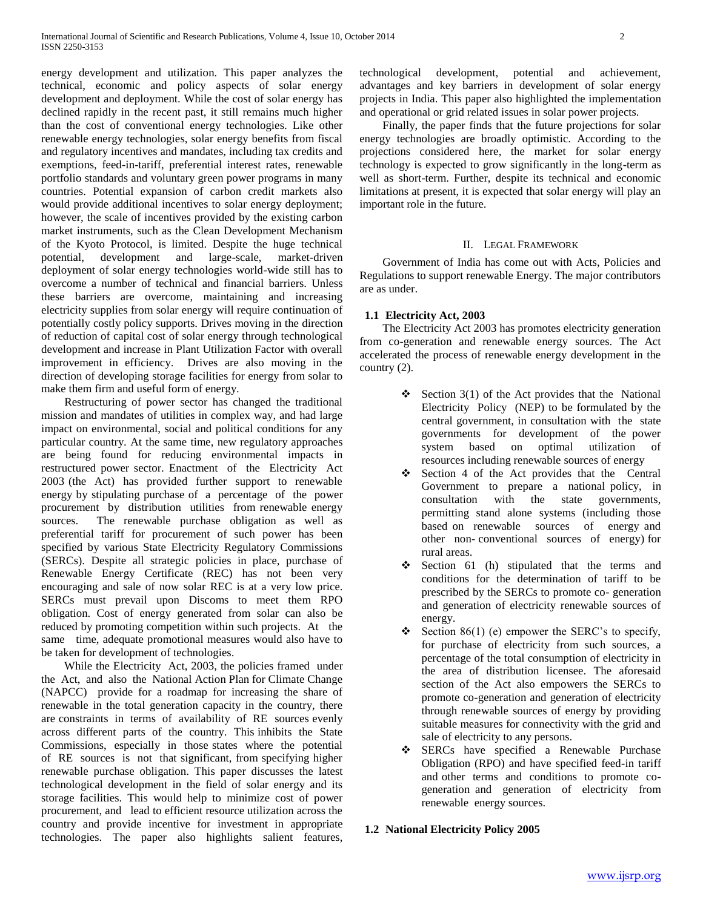energy development and utilization. This paper analyzes the technical, economic and policy aspects of solar energy development and deployment. While the cost of solar energy has declined rapidly in the recent past, it still remains much higher than the cost of conventional energy technologies. Like other renewable energy technologies, solar energy benefits from fiscal and regulatory incentives and mandates, including tax credits and exemptions, feed-in-tariff, preferential interest rates, renewable portfolio standards and voluntary green power programs in many countries. Potential expansion of carbon credit markets also would provide additional incentives to solar energy deployment; however, the scale of incentives provided by the existing carbon market instruments, such as the Clean Development Mechanism of the Kyoto Protocol, is limited. Despite the huge technical potential, development and large-scale, market-driven deployment of solar energy technologies world-wide still has to overcome a number of technical and financial barriers. Unless these barriers are overcome, maintaining and increasing electricity supplies from solar energy will require continuation of potentially costly policy supports. Drives moving in the direction of reduction of capital cost of solar energy through technological development and increase in Plant Utilization Factor with overall improvement in efficiency. Drives are also moving in the direction of developing storage facilities for energy from solar to make them firm and useful form of energy.

 Restructuring of power sector has changed the traditional mission and mandates of utilities in complex way, and had large impact on environmental, social and political conditions for any particular country. At the same time, new regulatory approaches are being found for reducing environmental impacts in restructured power sector. Enactment of the Electricity Act 2003 (the Act) has provided further support to renewable energy by stipulating purchase of a percentage of the power procurement by distribution utilities from renewable energy sources. The renewable purchase obligation as well as preferential tariff for procurement of such power has been specified by various State Electricity Regulatory Commissions (SERCs). Despite all strategic policies in place, purchase of Renewable Energy Certificate (REC) has not been very encouraging and sale of now solar REC is at a very low price. SERCs must prevail upon Discoms to meet them RPO obligation. Cost of energy generated from solar can also be reduced by promoting competition within such projects. At the same time, adequate promotional measures would also have to be taken for development of technologies.

While the Electricity Act, 2003, the policies framed under the Act, and also the National Action Plan for Climate Change (NAPCC) provide for a roadmap for increasing the share of renewable in the total generation capacity in the country, there are constraints in terms of availability of RE sources evenly across different parts of the country. This inhibits the State Commissions, especially in those states where the potential of RE sources is not that significant, from specifying higher renewable purchase obligation. This paper discusses the latest technological development in the field of solar energy and its storage facilities. This would help to minimize cost of power procurement, and lead to efficient resource utilization across the country and provide incentive for investment in appropriate technologies. The paper also highlights salient features,

technological development, potential and achievement, advantages and key barriers in development of solar energy projects in India. This paper also highlighted the implementation and operational or grid related issues in solar power projects.

 Finally, the paper finds that the future projections for solar energy technologies are broadly optimistic. According to the projections considered here, the market for solar energy technology is expected to grow significantly in the long-term as well as short-term. Further, despite its technical and economic limitations at present, it is expected that solar energy will play an important role in the future.

#### II. LEGAL FRAMEWORK

 Government of India has come out with Acts, Policies and Regulations to support renewable Energy. The major contributors are as under.

## **1.1 Electricity Act, 2003**

 The Electricity Act 2003 has promotes electricity generation from co-generation and renewable energy sources. The Act accelerated the process of renewable energy development in the country (2).

- Section 3(1) of the Act provides that the National Electricity Policy (NEP) to be formulated by the central government, in consultation with the state governments for development of the power system based on optimal utilization of resources including renewable sources of energy
- Section 4 of the Act provides that the Central Government to prepare a national policy, in consultation with the state governments, permitting stand alone systems (including those based on renewable sources of energy and other non- conventional sources of energy) for rural areas.
- Section 61 (h) stipulated that the terms and conditions for the determination of tariff to be prescribed by the SERCs to promote co- generation and generation of electricity renewable sources of energy.
- Section 86(1) (e) empower the SERC's to specify, for purchase of electricity from such sources, a percentage of the total consumption of electricity in the area of distribution licensee. The aforesaid section of the Act also empowers the SERCs to promote co-generation and generation of electricity through renewable sources of energy by providing suitable measures for connectivity with the grid and sale of electricity to any persons.
- SERCs have specified a Renewable Purchase Obligation (RPO) and have specified feed-in tariff and other terms and conditions to promote cogeneration and generation of electricity from renewable energy sources.

## **1.2 National Electricity Policy 2005**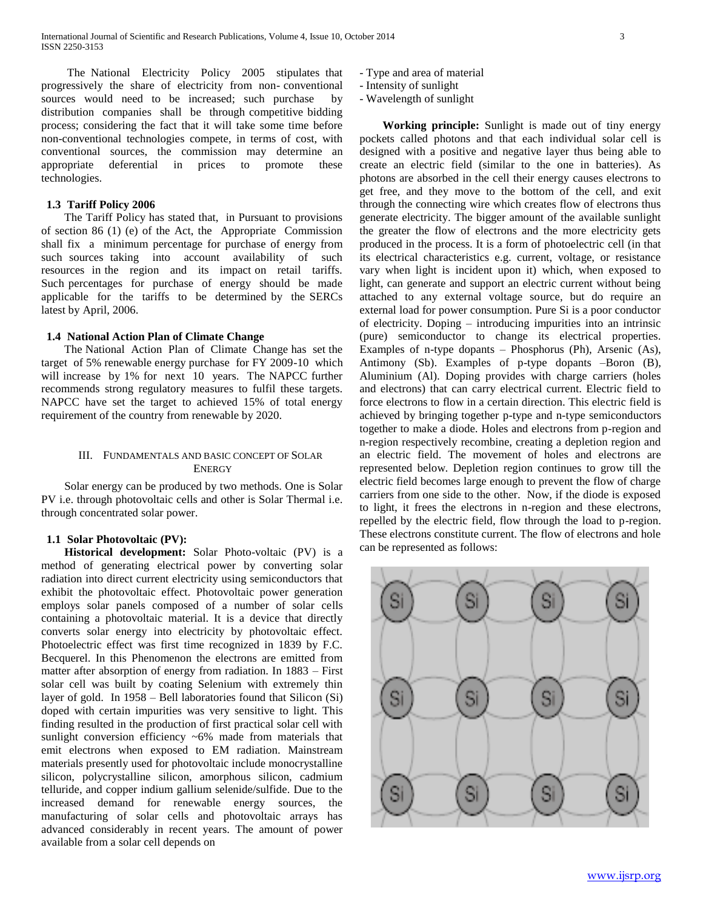The National Electricity Policy 2005 stipulates that progressively the share of electricity from non- conventional sources would need to be increased; such purchase by distribution companies shall be through competitive bidding process; considering the fact that it will take some time before non-conventional technologies compete, in terms of cost, with conventional sources, the commission may determine an appropriate deferential in prices to promote these technologies.

## **1.3 Tariff Policy 2006**

 The Tariff Policy has stated that, in Pursuant to provisions of section 86 (1) (e) of the Act, the Appropriate Commission shall fix a minimum percentage for purchase of energy from such sources taking into account availability of such resources in the region and its impact on retail tariffs. Such percentages for purchase of energy should be made applicable for the tariffs to be determined by the SERCs latest by April, 2006.

## **1.4 National Action Plan of Climate Change**

 The National Action Plan of Climate Change has set the target of 5% renewable energy purchase for FY 2009-10 which will increase by 1% for next 10 years. The NAPCC further recommends strong regulatory measures to fulfil these targets. NAPCC have set the target to achieved 15% of total energy requirement of the country from renewable by 2020.

#### III. FUNDAMENTALS AND BASIC CONCEPT OF SOLAR **ENERGY**

 Solar energy can be produced by two methods. One is Solar PV i.e. through photovoltaic cells and other is Solar Thermal i.e. through concentrated solar power.

#### **1.1 Solar Photovoltaic (PV):**

 **Historical development:** Solar Photo-voltaic (PV) is a method of generating electrical power by converting solar radiation into direct current electricity using semiconductors that exhibit the photovoltaic effect. Photovoltaic power generation employs solar panels composed of a number of solar cells containing a photovoltaic material. It is a device that directly converts solar energy into electricity by photovoltaic effect. Photoelectric effect was first time recognized in 1839 by F.C. Becquerel. In this Phenomenon the electrons are emitted from matter after absorption of energy from radiation. In 1883 – First solar cell was built by coating Selenium with extremely thin layer of gold. In 1958 – Bell laboratories found that Silicon (Si) doped with certain impurities was very sensitive to light. This finding resulted in the production of first practical solar cell with sunlight conversion efficiency ~6% made from materials that emit electrons when exposed to EM radiation. Mainstream materials presently used for photovoltaic include monocrystalline silicon, polycrystalline silicon, amorphous silicon, cadmium telluride, and copper indium gallium selenide/sulfide. Due to the increased demand for renewable energy sources, the manufacturing of solar cells and photovoltaic arrays has advanced considerably in recent years. The amount of power available from a solar cell depends on

- Type and area of material
- Intensity of sunlight
- Wavelength of sunlight

 **Working principle:** Sunlight is made out of tiny energy pockets called photons and that each individual solar cell is designed with a positive and negative layer thus being able to create an electric field (similar to the one in batteries). As photons are absorbed in the cell their energy causes electrons to get free, and they move to the bottom of the cell, and exit through the connecting wire which creates flow of electrons thus generate electricity. The bigger amount of the available sunlight the greater the flow of electrons and the more electricity gets produced in the process. It is a form of photoelectric cell (in that its electrical characteristics e.g. current, voltage, or resistance vary when light is incident upon it) which, when exposed to light, can generate and support an electric current without being attached to any external voltage source, but do require an external load for power consumption. Pure Si is a poor conductor of electricity. Doping – introducing impurities into an intrinsic (pure) semiconductor to change its electrical properties. Examples of n-type dopants – Phosphorus (Ph), Arsenic (As), Antimony (Sb). Examples of p-type dopants –Boron (B), Aluminium (Al). Doping provides with charge carriers (holes and electrons) that can carry electrical current. Electric field to force electrons to flow in a certain direction. This electric field is achieved by bringing together p-type and n-type semiconductors together to make a diode. Holes and electrons from p-region and n-region respectively recombine, creating a depletion region and an electric field. The movement of holes and electrons are represented below. Depletion region continues to grow till the electric field becomes large enough to prevent the flow of charge carriers from one side to the other. Now, if the diode is exposed to light, it frees the electrons in n-region and these electrons, repelled by the electric field, flow through the load to p-region. These electrons constitute current. The flow of electrons and hole can be represented as follows:

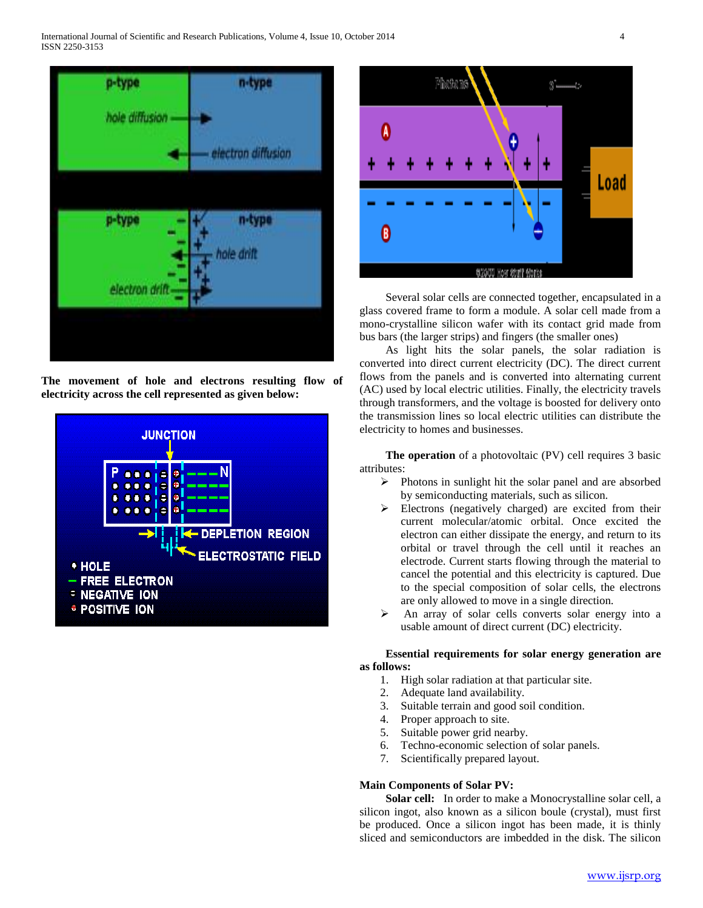

**The movement of hole and electrons resulting flow of electricity across the cell represented as given below:**





 Several solar cells are connected together, encapsulated in a glass covered frame to form a module. A solar cell made from a mono-crystalline silicon wafer with its contact grid made from bus bars (the larger strips) and fingers (the smaller ones)

 As light hits the solar panels, the solar radiation is converted into direct current electricity (DC). The direct current flows from the panels and is converted into alternating current (AC) used by local electric utilities. Finally, the electricity travels through transformers, and the voltage is boosted for delivery onto the transmission lines so local electric utilities can distribute the electricity to homes and businesses.

 **The operation** of a photovoltaic (PV) cell requires 3 basic attributes:

- $\triangleright$  Photons in sunlight hit the solar panel and are absorbed by semiconducting materials, such as silicon.
- $\triangleright$  Electrons (negatively charged) are excited from their current molecular/atomic orbital. Once excited the electron can either dissipate the energy, and return to its orbital or travel through the cell until it reaches an electrode. Current starts flowing through the material to cancel the potential and this electricity is captured. Due to the special composition of solar cells, the electrons are only allowed to move in a single direction.
- $\triangleright$  An array of solar cells converts solar energy into a usable amount of direct current (DC) electricity.

#### **Essential requirements for solar energy generation are as follows:**

- 1. High solar radiation at that particular site.
- 2. Adequate land availability.
- 3. Suitable terrain and good soil condition.
- 4. Proper approach to site.
- 5. Suitable power grid nearby.
- 6. Techno-economic selection of solar panels.
- 7. Scientifically prepared layout.

#### **Main Components of Solar PV:**

 **Solar cell:** In order to make a Monocrystalline solar cell, a silicon ingot, also known as a silicon boule (crystal), must first be produced. Once a silicon ingot has been made, it is thinly sliced and semiconductors are imbedded in the disk. The silicon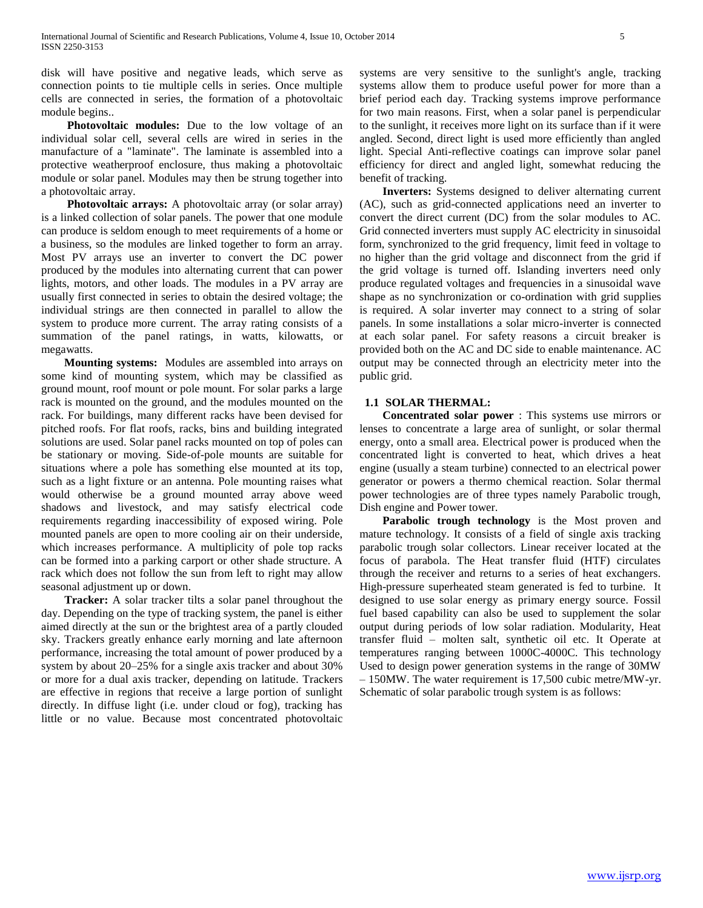disk will have positive and negative leads, which serve as connection points to tie multiple cells in series. Once multiple cells are connected in series, the formation of a photovoltaic module begins..

 **Photovoltaic modules:** Due to the low voltage of an individual solar cell, several cells are wired in series in the manufacture of a "laminate". The laminate is assembled into a protective weatherproof enclosure, thus making a photovoltaic module or solar panel. Modules may then be strung together into a photovoltaic array.

 **Photovoltaic arrays:** A photovoltaic array (or solar array) is a linked collection of solar panels. The power that one module can produce is seldom enough to meet requirements of a home or a business, so the modules are linked together to form an array. Most PV arrays use an inverter to convert the DC power produced by the modules into alternating current that can power lights, motors, and other loads. The modules in a PV array are usually first connected in series to obtain the desired voltage; the individual strings are then connected in parallel to allow the system to produce more current. The array rating consists of a summation of the panel ratings, in watts, kilowatts, or megawatts.

 **Mounting systems:** Modules are assembled into arrays on some kind of mounting system, which may be classified as ground mount, roof mount or pole mount. For solar parks a large rack is mounted on the ground, and the modules mounted on the rack. For buildings, many different racks have been devised for pitched roofs. For flat roofs, racks, bins and building integrated solutions are used. Solar panel racks mounted on top of poles can be stationary or moving. Side-of-pole mounts are suitable for situations where a pole has something else mounted at its top, such as a light fixture or an antenna. Pole mounting raises what would otherwise be a ground mounted array above weed shadows and livestock, and may satisfy electrical code requirements regarding inaccessibility of exposed wiring. Pole mounted panels are open to more cooling air on their underside, which increases performance. A multiplicity of pole top racks can be formed into a parking carport or other shade structure. A rack which does not follow the sun from left to right may allow seasonal adjustment up or down.

 **Tracker:** A solar tracker tilts a solar panel throughout the day. Depending on the type of tracking system, the panel is either aimed directly at the sun or the brightest area of a partly clouded sky. Trackers greatly enhance early morning and late afternoon performance, increasing the total amount of power produced by a system by about 20–25% for a single axis tracker and about 30% or more for a dual axis tracker, depending on latitude. Trackers are effective in regions that receive a large portion of sunlight directly. In diffuse light (i.e. under cloud or fog), tracking has little or no value. Because most concentrated photovoltaic systems are very sensitive to the sunlight's angle, tracking systems allow them to produce useful power for more than a brief period each day. Tracking systems improve performance for two main reasons. First, when a solar panel is perpendicular to the sunlight, it receives more light on its surface than if it were angled. Second, direct light is used more efficiently than angled light. Special Anti-reflective coatings can improve solar panel efficiency for direct and angled light, somewhat reducing the benefit of tracking.

 **Inverters:** Systems designed to deliver alternating current (AC), such as grid-connected applications need an inverter to convert the direct current (DC) from the solar modules to AC. Grid connected inverters must supply AC electricity in sinusoidal form, synchronized to the grid frequency, limit feed in voltage to no higher than the grid voltage and disconnect from the grid if the grid voltage is turned off. Islanding inverters need only produce regulated voltages and frequencies in a sinusoidal wave shape as no synchronization or co-ordination with grid supplies is required. A solar inverter may connect to a string of solar panels. In some installations a solar micro-inverter is connected at each solar panel. For safety reasons a circuit breaker is provided both on the AC and DC side to enable maintenance. AC output may be connected through an electricity meter into the public grid.

#### **1.1 SOLAR THERMAL:**

 **Concentrated solar power** : This systems use mirrors or lenses to concentrate a large area of sunlight, or solar thermal energy, onto a small area. Electrical power is produced when the concentrated light is converted to heat, which drives a heat engine (usually a steam turbine) connected to an electrical power generator or powers a thermo chemical reaction. Solar thermal power technologies are of three types namely Parabolic trough, Dish engine and Power tower.

 **Parabolic trough technology** is the Most proven and mature technology. It consists of a field of single axis tracking parabolic trough solar collectors. Linear receiver located at the focus of parabola. The Heat transfer fluid (HTF) circulates through the receiver and returns to a series of heat exchangers. High-pressure superheated steam generated is fed to turbine. It designed to use solar energy as primary energy source. Fossil fuel based capability can also be used to supplement the solar output during periods of low solar radiation. Modularity, Heat transfer fluid – molten salt, synthetic oil etc. It Operate at temperatures ranging between 1000C-4000C. This technology Used to design power generation systems in the range of 30MW – 150MW. The water requirement is 17,500 cubic metre/MW-yr. Schematic of solar parabolic trough system is as follows: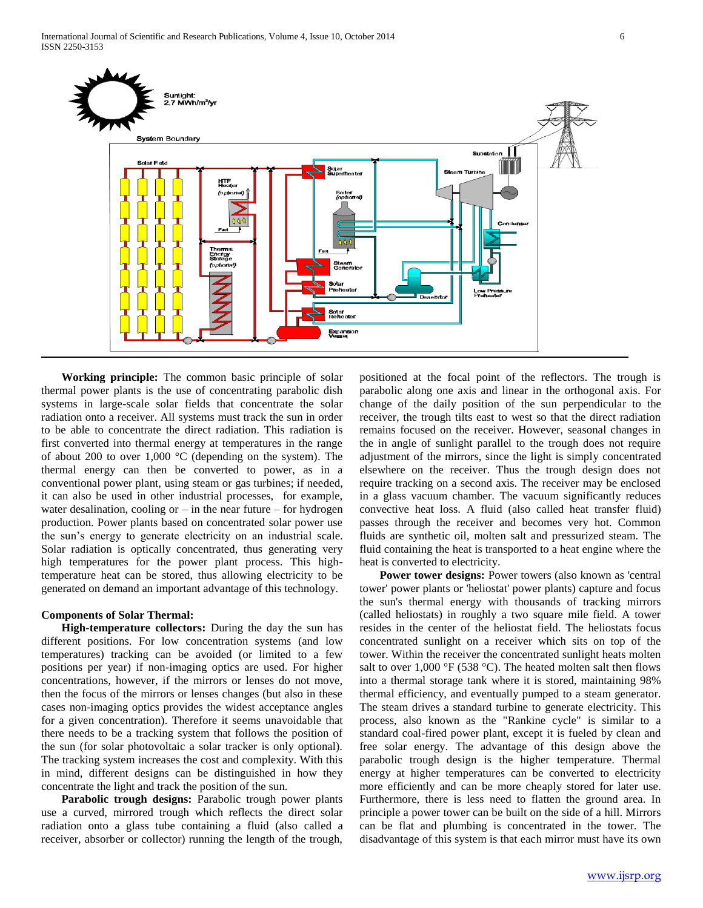

 **Working principle:** The common basic principle of solar thermal power plants is the use of concentrating parabolic dish systems in large-scale solar fields that concentrate the solar radiation onto a receiver. All systems must track the sun in order to be able to concentrate the direct radiation. This radiation is first converted into thermal energy at temperatures in the range of about 200 to over 1,000 °C (depending on the system). The thermal energy can then be converted to power, as in a conventional power plant, using steam or gas turbines; if needed, it can also be used in other industrial processes, for example, water desalination, cooling or  $-$  in the near future  $-$  for hydrogen production. Power plants based on concentrated solar power use the sun"s energy to generate electricity on an industrial scale. Solar radiation is optically concentrated, thus generating very high temperatures for the power plant process. This hightemperature heat can be stored, thus allowing electricity to be generated on demand an important advantage of this technology.

#### **Components of Solar Thermal:**

 **High-temperature collectors:** During the day the sun has different positions. For low concentration systems (and low temperatures) tracking can be avoided (or limited to a few positions per year) if non-imaging optics are used. For higher concentrations, however, if the mirrors or lenses do not move, then the focus of the mirrors or lenses changes (but also in these cases non-imaging optics provides the widest acceptance angles for a given concentration). Therefore it seems unavoidable that there needs to be a tracking system that follows the position of the sun (for solar photovoltaic a solar tracker is only optional). The tracking system increases the cost and complexity. With this in mind, different designs can be distinguished in how they concentrate the light and track the position of the sun.

Parabolic trough designs: Parabolic trough power plants use a curved, mirrored trough which reflects the direct solar radiation onto a glass tube containing a fluid (also called a receiver, absorber or collector) running the length of the trough,

positioned at the focal point of the reflectors. The trough is parabolic along one axis and linear in the orthogonal axis. For change of the daily position of the sun perpendicular to the receiver, the trough tilts east to west so that the direct radiation remains focused on the receiver. However, seasonal changes in the in angle of sunlight parallel to the trough does not require adjustment of the mirrors, since the light is simply concentrated elsewhere on the receiver. Thus the trough design does not require tracking on a second axis. The receiver may be enclosed in a glass vacuum chamber. The vacuum significantly reduces convective heat loss. A fluid (also called heat transfer fluid) passes through the receiver and becomes very hot. Common fluids are synthetic oil, molten salt and pressurized steam. The fluid containing the heat is transported to a heat engine where the heat is converted to electricity.

**Power tower designs:** Power towers (also known as 'central tower' power plants or 'heliostat' power plants) capture and focus the sun's thermal energy with thousands of tracking mirrors (called heliostats) in roughly a two square mile field. A tower resides in the center of the heliostat field. The heliostats focus concentrated sunlight on a receiver which sits on top of the tower. Within the receiver the concentrated sunlight heats molten salt to over  $1,000 \text{ °F}$  (538 °C). The heated molten salt then flows into a thermal storage tank where it is stored, maintaining 98% thermal efficiency, and eventually pumped to a steam generator. The steam drives a standard turbine to generate electricity. This process, also known as the "Rankine cycle" is similar to a standard coal-fired power plant, except it is fueled by clean and free solar energy. The advantage of this design above the parabolic trough design is the higher temperature. Thermal energy at higher temperatures can be converted to electricity more efficiently and can be more cheaply stored for later use. Furthermore, there is less need to flatten the ground area. In principle a power tower can be built on the side of a hill. Mirrors can be flat and plumbing is concentrated in the tower. The disadvantage of this system is that each mirror must have its own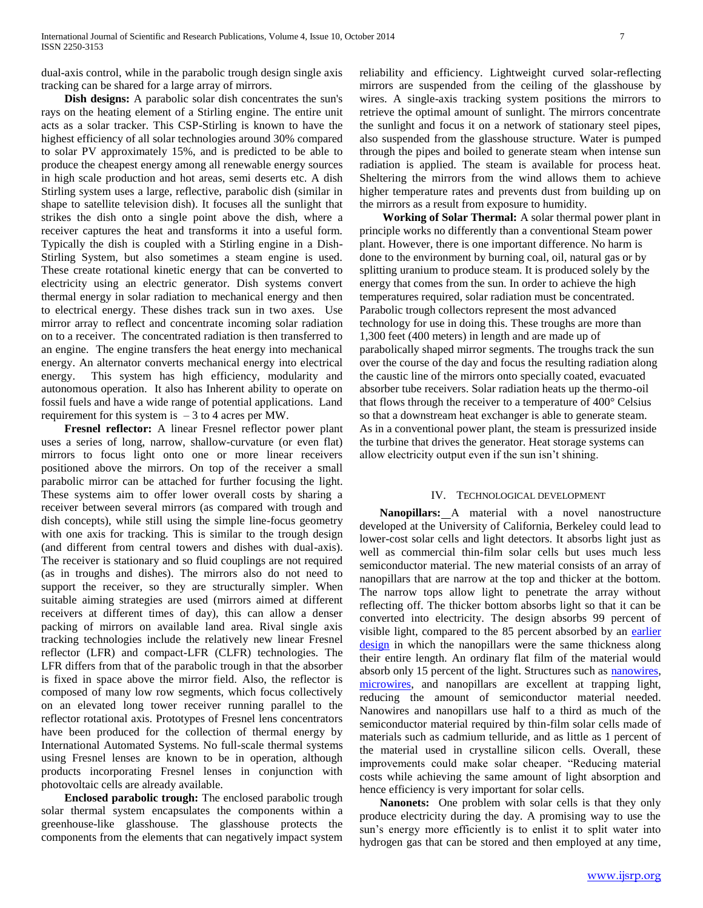dual-axis control, while in the parabolic trough design single axis tracking can be shared for a large array of mirrors.

 **Dish designs:** A parabolic solar dish concentrates the sun's rays on the heating element of a Stirling engine. The entire unit acts as a solar tracker. This CSP-Stirling is known to have the highest efficiency of all solar technologies around 30% compared to solar PV approximately 15%, and is predicted to be able to produce the cheapest energy among all renewable energy sources in high scale production and hot areas, semi deserts etc. A dish Stirling system uses a large, reflective, parabolic dish (similar in shape to satellite television dish). It focuses all the sunlight that strikes the dish onto a single point above the dish, where a receiver captures the heat and transforms it into a useful form. Typically the dish is coupled with a Stirling engine in a Dish-Stirling System, but also sometimes a steam engine is used. These create rotational kinetic energy that can be converted to electricity using an electric generator. Dish systems convert thermal energy in solar radiation to mechanical energy and then to electrical energy. These dishes track sun in two axes. Use mirror array to reflect and concentrate incoming solar radiation on to a receiver. The concentrated radiation is then transferred to an engine. The engine transfers the heat energy into mechanical energy. An alternator converts mechanical energy into electrical energy. This system has high efficiency, modularity and autonomous operation. It also has Inherent ability to operate on fossil fuels and have a wide range of potential applications. Land requirement for this system is – 3 to 4 acres per MW.

 **Fresnel reflector:** A linear Fresnel reflector power plant uses a series of long, narrow, shallow-curvature (or even flat) mirrors to focus light onto one or more linear receivers positioned above the mirrors. On top of the receiver a small parabolic mirror can be attached for further focusing the light. These systems aim to offer lower overall costs by sharing a receiver between several mirrors (as compared with trough and dish concepts), while still using the simple line-focus geometry with one axis for tracking. This is similar to the trough design (and different from central towers and dishes with dual-axis). The receiver is stationary and so fluid couplings are not required (as in troughs and dishes). The mirrors also do not need to support the receiver, so they are structurally simpler. When suitable aiming strategies are used (mirrors aimed at different receivers at different times of day), this can allow a denser packing of mirrors on available land area. Rival single axis tracking technologies include the relatively new linear Fresnel reflector (LFR) and compact-LFR (CLFR) technologies. The LFR differs from that of the parabolic trough in that the absorber is fixed in space above the mirror field. Also, the reflector is composed of many low row segments, which focus collectively on an elevated long tower receiver running parallel to the reflector rotational axis. Prototypes of Fresnel lens concentrators have been produced for the collection of thermal energy by International Automated Systems. No full-scale thermal systems using Fresnel lenses are known to be in operation, although products incorporating Fresnel lenses in conjunction with photovoltaic cells are already available.

 **Enclosed parabolic trough:** The enclosed parabolic trough solar thermal system encapsulates the components within a greenhouse-like glasshouse. The glasshouse protects the components from the elements that can negatively impact system

reliability and efficiency. Lightweight curved solar-reflecting mirrors are suspended from the ceiling of the glasshouse by wires. A single-axis tracking system positions the mirrors to retrieve the optimal amount of sunlight. The mirrors concentrate the sunlight and focus it on a network of stationary steel pipes, also suspended from the glasshouse structure. Water is pumped through the pipes and boiled to generate steam when intense sun radiation is applied. The steam is available for process heat. Sheltering the mirrors from the wind allows them to achieve higher temperature rates and prevents dust from building up on the mirrors as a result from exposure to humidity.

 **Working of Solar Thermal:** A solar thermal power plant in principle works no differently than a conventional Steam power plant. However, there is one important difference. No harm is done to the environment by burning coal, oil, natural gas or by splitting uranium to produce steam. It is produced solely by the energy that comes from the sun. In order to achieve the high temperatures required, solar radiation must be concentrated. Parabolic trough collectors represent the most advanced technology for use in doing this. These troughs are more than 1,300 feet (400 meters) in length and are made up of parabolically shaped mirror segments. The troughs track the sun over the course of the day and focus the resulting radiation along the caustic line of the mirrors onto specially coated, evacuated absorber tube receivers. Solar radiation heats up the thermo-oil that flows through the receiver to a temperature of 400° Celsius so that a downstream heat exchanger is able to generate steam. As in a conventional power plant, the steam is pressurized inside the turbine that drives the generator. Heat storage systems can allow electricity output even if the sun isn"t shining.

#### IV. TECHNOLOGICAL DEVELOPMENT

 **Nanopillars:** A material with a novel nanostructure developed at the University of California, Berkeley could lead to lower-cost solar cells and light detectors. It absorbs light just as well as commercial thin-film solar cells but uses much less semiconductor material. The new material consists of an array of nanopillars that are narrow at the top and thicker at the bottom. The narrow tops allow light to penetrate the array without reflecting off. The thicker bottom absorbs light so that it can be converted into electricity. The design absorbs 99 percent of visible light, compared to the 85 percent absorbed by an [earlier](http://www.technologyreview.com/computing/22958/)  [design](http://www.technologyreview.com/computing/22958/) in which the nanopillars were the same thickness along their entire length. An ordinary flat film of the material would absorb only 15 percent of the light. Structures such as [nanowires,](http://www.technologyreview.com/energy/24547/) [microwires,](http://www.technologyreview.com/energy/24665/) and nanopillars are excellent at trapping light, reducing the amount of semiconductor material needed. Nanowires and nanopillars use half to a third as much of the semiconductor material required by thin-film solar cells made of materials such as cadmium telluride, and as little as 1 percent of the material used in crystalline silicon cells. Overall, these improvements could make solar cheaper. "Reducing material costs while achieving the same amount of light absorption and hence efficiency is very important for solar cells.

 **Nanonets:** One problem with solar cells is that they only produce electricity during the day. A promising way to use the sun's energy more efficiently is to enlist it to split water into hydrogen gas that can be stored and then employed at any time,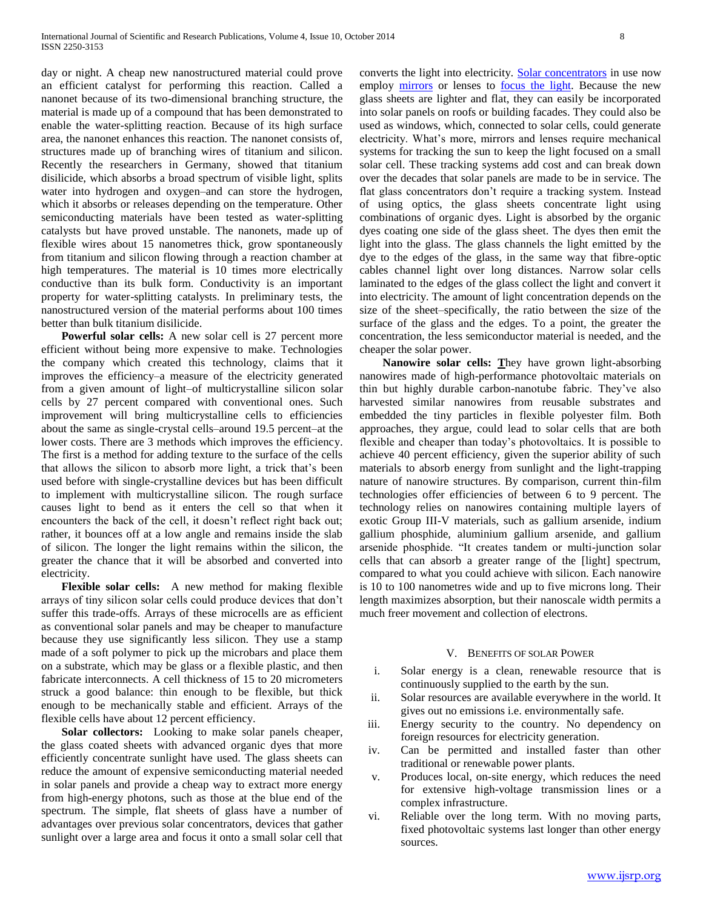day or night. A cheap new nanostructured material could prove an efficient catalyst for performing this reaction. Called a nanonet because of its two-dimensional branching structure, the material is made up of a compound that has been demonstrated to enable the water-splitting reaction. Because of its high surface area, the nanonet enhances this reaction. The nanonet consists of, structures made up of branching wires of titanium and silicon. Recently the researchers in Germany, showed that titanium disilicide, which absorbs a broad spectrum of visible light, splits water into hydrogen and oxygen–and can store the hydrogen, which it absorbs or releases depending on the temperature. Other semiconducting materials have been tested as water-splitting catalysts but have proved unstable. The nanonets, made up of flexible wires about 15 nanometres thick, grow spontaneously from titanium and silicon flowing through a reaction chamber at high temperatures. The material is 10 times more electrically conductive than its bulk form. Conductivity is an important property for water-splitting catalysts. In preliminary tests, the nanostructured version of the material performs about 100 times better than bulk titanium disilicide.

 **Powerful solar cells:** A new solar cell is 27 percent more efficient without being more expensive to make. Technologies the company which created this technology, claims that it improves the efficiency–a measure of the electricity generated from a given amount of light–of multicrystalline silicon solar cells by 27 percent compared with conventional ones. Such improvement will bring multicrystalline cells to efficiencies about the same as single-crystal cells–around 19.5 percent–at the lower costs. There are 3 methods which improves the efficiency. The first is a method for adding texture to the surface of the cells that allows the silicon to absorb more light, a trick that"s been used before with single-crystalline devices but has been difficult to implement with multicrystalline silicon. The rough surface causes light to bend as it enters the cell so that when it encounters the back of the cell, it doesn"t reflect right back out; rather, it bounces off at a low angle and remains inside the slab of silicon. The longer the light remains within the silicon, the greater the chance that it will be absorbed and converted into electricity.

 **Flexible solar cells:** A new method for making flexible arrays of tiny silicon solar cells could produce devices that don"t suffer this trade-offs. Arrays of these microcells are as efficient as conventional solar panels and may be cheaper to manufacture because they use significantly less silicon. They use a stamp made of a soft polymer to pick up the microbars and place them on a substrate, which may be glass or a flexible plastic, and then fabricate interconnects. A cell thickness of 15 to 20 micrometers struck a good balance: thin enough to be flexible, but thick enough to be mechanically stable and efficient. Arrays of the flexible cells have about 12 percent efficiency.

 **Solar collectors:** Looking to make solar panels cheaper, the glass coated sheets with advanced organic dyes that more efficiently concentrate sunlight have used. The glass sheets can reduce the amount of expensive semiconducting material needed in solar panels and provide a cheap way to extract more energy from high-energy photons, such as those at the blue end of the spectrum. The simple, flat sheets of glass have a number of advantages over previous solar concentrators, devices that gather sunlight over a large area and focus it onto a small solar cell that converts the light into electricity. [Solar concentrators](http://www.technologyreview.com/Energy/17774/) in use now employ [mirrors](https://www.technologyreview.com/read_article.aspx?ch=specialsections&sc=solar&id=20948&a=) or lenses to [focus the light.](http://www.technologyreview.com/read_article.aspx?ch=specialsections&sc=solar&id=18718&a=) Because the new glass sheets are lighter and flat, they can easily be incorporated into solar panels on roofs or building facades. They could also be used as windows, which, connected to solar cells, could generate electricity. What"s more, mirrors and lenses require mechanical systems for tracking the sun to keep the light focused on a small solar cell. These tracking systems add cost and can break down over the decades that solar panels are made to be in service. The flat glass concentrators don"t require a tracking system. Instead of using optics, the glass sheets concentrate light using combinations of organic dyes. Light is absorbed by the organic dyes coating one side of the glass sheet. The dyes then emit the light into the glass. The glass channels the light emitted by the dye to the edges of the glass, in the same way that fibre-optic cables channel light over long distances. Narrow solar cells laminated to the edges of the glass collect the light and convert it into electricity. The amount of light concentration depends on the size of the sheet–specifically, the ratio between the size of the surface of the glass and the edges. To a point, the greater the concentration, the less semiconductor material is needed, and the cheaper the solar power.

 **Nanowire solar cells: T**hey have grown light-absorbing nanowires made of high-performance photovoltaic materials on thin but highly durable carbon-nanotube fabric. They"ve also harvested similar nanowires from reusable substrates and embedded the tiny particles in flexible polyester film. Both approaches, they argue, could lead to solar cells that are both flexible and cheaper than today"s photovoltaics. It is possible to achieve 40 percent efficiency, given the superior ability of such materials to absorb energy from sunlight and the light-trapping nature of nanowire structures. By comparison, current thin-film technologies offer efficiencies of between 6 to 9 percent. The technology relies on nanowires containing multiple layers of exotic Group III-V materials, such as gallium arsenide, indium gallium phosphide, aluminium gallium arsenide, and gallium arsenide phosphide. "It creates tandem or multi-junction solar cells that can absorb a greater range of the [light] spectrum, compared to what you could achieve with silicon. Each nanowire is 10 to 100 nanometres wide and up to five microns long. Their length maximizes absorption, but their nanoscale width permits a much freer movement and collection of electrons.

#### V. BENEFITS OF SOLAR POWER

- i. Solar energy is a clean, renewable resource that is continuously supplied to the earth by the sun.
- ii. Solar resources are available everywhere in the world. It gives out no emissions i.e. environmentally safe.
- iii. Energy security to the country. No dependency on foreign resources for electricity generation.
- iv. Can be permitted and installed faster than other traditional or renewable power plants.
- v. Produces local, on-site energy, which reduces the need for extensive high-voltage transmission lines or a complex infrastructure.
- vi. Reliable over the long term. With no moving parts, fixed photovoltaic systems last longer than other energy sources.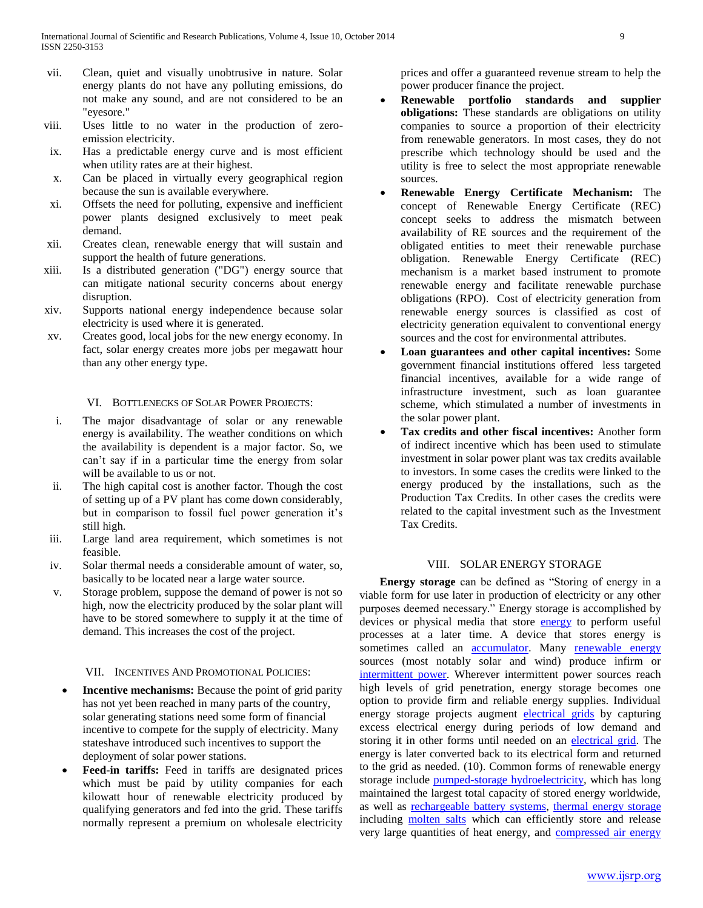- vii. Clean, quiet and visually unobtrusive in nature. Solar energy plants do not have any polluting emissions, do not make any sound, and are not considered to be an "eyesore."
- viii. Uses little to no water in the production of zeroemission electricity.
- ix. Has a predictable energy curve and is most efficient when utility rates are at their highest.
- x. Can be placed in virtually every geographical region because the sun is available everywhere.
- xi. Offsets the need for polluting, expensive and inefficient power plants designed exclusively to meet peak demand.
- xii. Creates clean, renewable energy that will sustain and support the health of future generations.
- xiii. Is a distributed generation ("DG") energy source that can mitigate national security concerns about energy disruption.
- xiv. Supports national energy independence because solar electricity is used where it is generated.
- xv. Creates good, local jobs for the new energy economy. In fact, solar energy creates more jobs per megawatt hour than any other energy type.

#### VI. BOTTLENECKS OF SOLAR POWER PROJECTS:

- i. The major disadvantage of solar or any renewable energy is availability. The weather conditions on which the availability is dependent is a major factor. So, we can"t say if in a particular time the energy from solar will be available to us or not.
- ii. The high capital cost is another factor. Though the cost of setting up of a PV plant has come down considerably, but in comparison to fossil fuel power generation it's still high.
- iii. Large land area requirement, which sometimes is not feasible.
- iv. Solar thermal needs a considerable amount of water, so, basically to be located near a large water source.
- v. Storage problem, suppose the demand of power is not so high, now the electricity produced by the solar plant will have to be stored somewhere to supply it at the time of demand. This increases the cost of the project.

## VII. INCENTIVES AND PROMOTIONAL POLICIES:

- **Incentive mechanisms:** Because the point of grid parity has not yet been reached in many parts of the country, solar generating stations need some form of financial incentive to compete for the supply of electricity. Many stateshave introduced such incentives to support the deployment of solar power stations.
- **Feed-in tariffs:** Feed in tariffs are designated prices which must be paid by utility companies for each kilowatt hour of renewable electricity produced by qualifying generators and fed into the grid. These tariffs normally represent a premium on wholesale electricity

prices and offer a guaranteed revenue stream to help the power producer finance the project.

- **Renewable portfolio standards and supplier obligations:** These standards are obligations on utility companies to source a proportion of their electricity from renewable generators. In most cases, they do not prescribe which technology should be used and the utility is free to select the most appropriate renewable sources.
- **Renewable Energy Certificate Mechanism:** The concept of Renewable Energy Certificate (REC) concept seeks to address the mismatch between availability of RE sources and the requirement of the obligated entities to meet their renewable purchase obligation. Renewable Energy Certificate (REC) mechanism is a market based instrument to promote renewable energy and facilitate renewable purchase obligations (RPO). Cost of electricity generation from renewable energy sources is classified as cost of electricity generation equivalent to conventional energy sources and the cost for environmental attributes.
- **Loan guarantees and other capital incentives:** Some government financial institutions offered less targeted financial incentives, available for a wide range of infrastructure investment, such as loan guarantee scheme, which stimulated a number of investments in the solar power plant.
- **Tax credits and other fiscal incentives:** Another form of indirect incentive which has been used to stimulate investment in solar power plant was tax credits available to investors. In some cases the credits were linked to the energy produced by the installations, such as the Production Tax Credits. In other cases the credits were related to the capital investment such as the Investment Tax Credits.

## VIII. SOLAR ENERGY STORAGE

 **Energy storage** can be defined as "Storing of energy in a viable form for use later in production of electricity or any other purposes deemed necessary." Energy storage is accomplished by devices or physical media that store [energy](http://en.wikipedia.org/wiki/Energy) to perform useful processes at a later time. A device that stores energy is sometimes called an **accumulator**. Many [renewable energy](http://en.wikipedia.org/wiki/Renewable_energy) sources (most notably solar and wind) produce infirm or [intermittent power.](http://en.wikipedia.org/wiki/Intermittent_power_source) Wherever intermittent power sources reach high levels of grid penetration, energy storage becomes one option to provide firm and reliable energy supplies. Individual energy storage projects augment [electrical grids](http://en.wikipedia.org/wiki/Electrical_grid) by capturing excess electrical energy during periods of low demand and storing it in other forms until needed on an [electrical grid.](http://en.wikipedia.org/wiki/Electrical_grid) The energy is later converted back to its electrical form and returned to the grid as needed. (10). Common forms of renewable energy storage include [pumped-storage hydroelectricity,](http://en.wikipedia.org/wiki/Pumped-storage_hydroelectricity) which has long maintained the largest total capacity of stored energy worldwide, as well as [rechargeable battery systems,](http://en.wikipedia.org/wiki/Rechargeable_battery) [thermal energy storage](http://en.wikipedia.org/wiki/Thermal_energy_storage) including [molten salts](http://en.wikipedia.org/wiki/Molten_salt_heat_storage) which can efficiently store and release very large quantities of heat energy, and [compressed air energy](http://en.wikipedia.org/wiki/Compressed_air_energy_storage)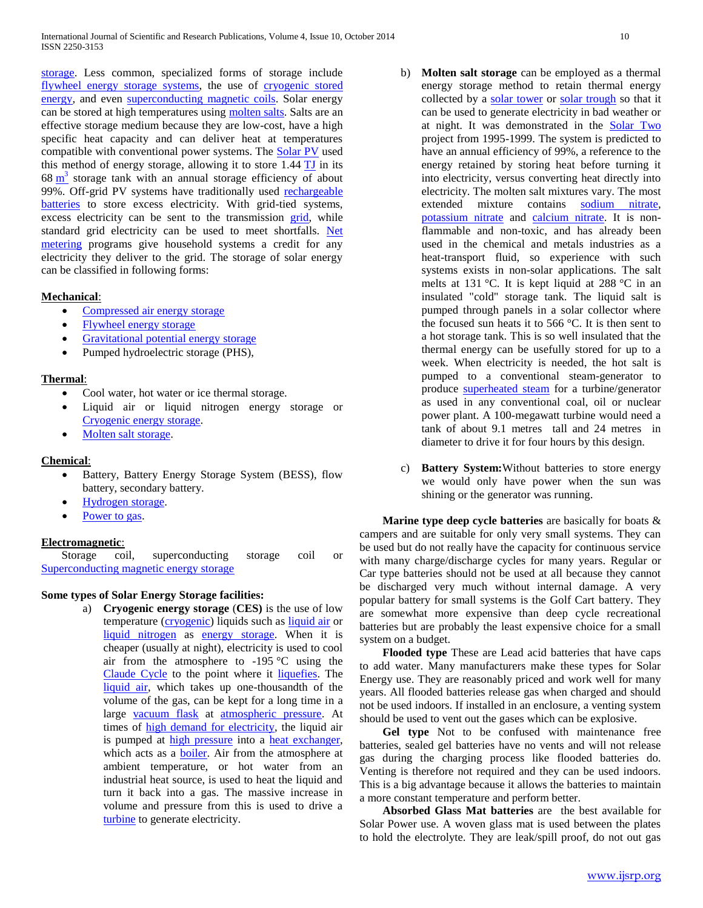storage. Less common, specialized forms of storage include [flywheel energy storage systems,](http://en.wikipedia.org/wiki/Flywheel_energy_storage) the use of cryogenic stored [energy,](http://en.wikipedia.org/wiki/Cryogenic_energy_storage) and even [superconducting magnetic coils.](http://en.wikipedia.org/wiki/Superconducting_magnetic_energy_storage) Solar energy can be stored at high temperatures using [molten salts.](http://en.wikipedia.org/wiki/Molten_salt) Salts are an effective storage medium because they are low-cost, have a high specific heat capacity and can deliver heat at temperatures compatible with conventional power systems. The **Solar PV** used this method of energy storage, allowing it to store 1.44 [TJ](http://en.wikipedia.org/wiki/Joule#Multiples) in its 68 $\frac{m^3}{s}$  $\frac{m^3}{s}$  $\frac{m^3}{s}$  storage tank with an annual storage efficiency of about 99%. Off-grid PV systems have traditionally used rechargeable [batteries](http://en.wikipedia.org/wiki/Rechargeable_batteries) to store excess electricity. With grid-tied systems, excess electricity can be sent to the transmission [grid,](http://en.wikipedia.org/wiki/Grid-tied_electrical_system) while standard grid electricity can be used to meet shortfalls. Net [metering](http://en.wikipedia.org/wiki/Net_metering) programs give household systems a credit for any electricity they deliver to the grid. The storage of solar energy can be classified in following forms:

# **Mechanical**:

- [Compressed air energy storage](http://en.wikipedia.org/wiki/Compressed_air_energy_storage)
- [Flywheel energy storage](http://en.wikipedia.org/wiki/Flywheel_energy_storage)
- [Gravitational potential energy storage](http://en.wikipedia.org/wiki/Energy_storage#Gravitational_potential_energy_storage)
- Pumped hydroelectric storage (PHS),

# **Thermal**:

- Cool water, hot water or ice thermal storage.
- Liquid air or liquid nitrogen energy storage or [Cryogenic energy storage.](http://en.wikipedia.org/wiki/Cryogenic_energy_storage)
- Molten [salt storage.](http://en.wikipedia.org/wiki/Molten_salt_heat_storage)

# **Chemical**:

- Battery, Battery Energy Storage System (BESS), flow battery, secondary battery.
- [Hydrogen storage.](http://en.wikipedia.org/wiki/Hydrogen_storage)
- [Power to gas.](http://en.wikipedia.org/wiki/Power_to_gas)

# **Electromagnetic**:

 Storage coil, superconducting storage coil or [Superconducting magnetic energy storage](http://en.wikipedia.org/wiki/Superconducting_magnetic_energy_storage)

# **Some types of Solar Energy Storage facilities:**

a) **Cryogenic energy storage** (**CES)** is the use of low temperature [\(cryogenic\)](http://en.wikipedia.org/wiki/Cryogenic) liquids such as [liquid air](http://en.wikipedia.org/wiki/Liquid_air) or [liquid nitrogen](http://en.wikipedia.org/wiki/Liquid_nitrogen) as [energy storage.](http://en.wikipedia.org/wiki/Energy_storage) When it is cheaper (usually at night), electricity is used to cool air from the atmosphere to  $-195\,^{\circ}\text{C}$  using the [Claude Cycle](http://en.wikipedia.org/wiki/Liquefaction_of_gases#Claude.27s_Process) to the point where it [liquefies.](http://en.wikipedia.org/wiki/Liquefaction) The [liquid air,](http://en.wikipedia.org/wiki/Liquid_air) which takes up one-thousandth of the volume of the gas, can be kept for a long time in a large [vacuum flask](http://en.wikipedia.org/wiki/Vacuum_flask) at [atmospheric pressure.](http://en.wikipedia.org/wiki/Atmospheric_pressure) At times of [high demand for electricity,](http://en.wikipedia.org/wiki/Peak_demand) the liquid air is pumped at [high pressure](http://en.wikipedia.org/wiki/High_pressure) into a heat exchanger, which acts as a **boiler**. Air from the atmosphere at ambient temperature, or hot water from an industrial heat source, is used to heat the liquid and turn it back into a gas. The massive increase in volume and pressure from this is used to drive a [turbine](http://en.wikipedia.org/wiki/Turbine) to generate electricity.

- b) **Molten salt storage** can be employed as a thermal energy storage method to retain thermal energy collected by a [solar tower](http://en.wikipedia.org/wiki/Solar_power_tower) or [solar trough](http://en.wikipedia.org/wiki/Solar_trough) so that it can be used to generate electricity in bad weather or at night. It was demonstrated in the [Solar Two](http://en.wikipedia.org/wiki/Solar_Two) project from 1995-1999. The system is predicted to have an annual efficiency of 99%, a reference to the energy retained by storing heat before turning it into electricity, versus converting heat directly into electricity. The molten salt mixtures vary. The most extended mixture contains [sodium nitrate,](http://en.wikipedia.org/wiki/Sodium_nitrate) [potassium nitrate](http://en.wikipedia.org/wiki/Potassium_nitrate) and [calcium nitrate.](http://en.wikipedia.org/wiki/Calcium_nitrate) It is nonflammable and non-toxic, and has already been used in the chemical and metals industries as a heat-transport fluid, so experience with such systems exists in non-solar applications. The salt melts at 131 °C. It is kept liquid at 288 °C in an insulated "cold" storage tank. The liquid salt is pumped through panels in a solar collector where the focused sun heats it to 566 °C. It is then sent to a hot storage tank. This is so well insulated that the thermal energy can be usefully stored for up to a week. When electricity is needed, the hot salt is pumped to a conventional steam-generator to produce [superheated steam](http://en.wikipedia.org/wiki/Superheated_steam) for a turbine/generator as used in any conventional coal, oil or nuclear power plant. A 100-megawatt turbine would need a tank of about 9.1 metres tall and 24 metres in diameter to drive it for four hours by this design.
- c) **Battery System:**Without batteries to store energy we would only have power when the sun was shining or the generator was running.

 **Marine type deep cycle batteries** are basically for boats & campers and are suitable for only very small systems. They can be used but do not really have the capacity for continuous service with many charge/discharge cycles for many years. Regular or Car type batteries should not be used at all because they cannot be discharged very much without internal damage. A very popular battery for small systems is the Golf Cart battery. They are somewhat more expensive than deep cycle recreational batteries but are probably the least expensive choice for a small system on a budget.

 **Flooded type** These are Lead acid batteries that have caps to add water. Many manufacturers make these types for Solar Energy use. They are reasonably priced and work well for many years. All flooded batteries release gas when charged and should not be used indoors. If installed in an enclosure, a venting system should be used to vent out the gases which can be explosive.

 **Gel type** Not to be confused with maintenance free batteries, sealed gel batteries have no vents and will not release gas during the charging process like flooded batteries do. Venting is therefore not required and they can be used indoors. This is a big advantage because it allows the batteries to maintain a more constant temperature and perform better.

 **Absorbed Glass Mat batteries** are the best available for Solar Power use. A woven glass mat is used between the plates to hold the electrolyte. They are leak/spill proof, do not out gas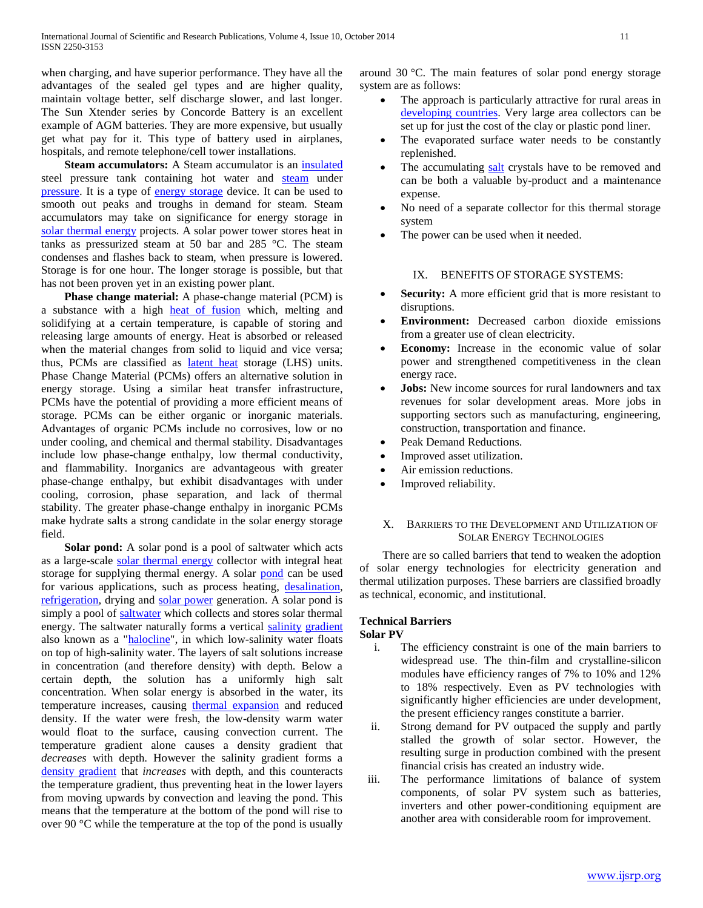when charging, and have superior performance. They have all the advantages of the sealed gel types and are higher quality, maintain voltage better, self discharge slower, and last longer. The Sun Xtender series by Concorde Battery is an excellent example of AGM batteries. They are more expensive, but usually get what pay for it. This type of battery used in airplanes, hospitals, and remote telephone/cell tower installations.

**Steam accumulators:** A Steam accumulator is an *insulated* steel pressure tank containing hot water and [steam](http://en.wikipedia.org/wiki/Steam) under [pressure.](http://en.wikipedia.org/wiki/Pressure) It is a type of [energy storage](http://en.wikipedia.org/wiki/Energy_storage) device. It can be used to smooth out peaks and troughs in demand for steam. Steam accumulators may take on significance for energy storage in [solar thermal energy](http://en.wikipedia.org/wiki/Solar_thermal_energy) projects. A solar power tower stores heat in tanks as pressurized steam at 50 bar and 285 °C. The steam condenses and flashes back to steam, when pressure is lowered. Storage is for one hour. The longer storage is possible, but that has not been proven yet in an existing power plant.

 **Phase change material:** A phase-change material (PCM) is a substance with a high [heat of fusion](http://en.wikipedia.org/wiki/Heat_of_fusion) which, melting and solidifying at a certain temperature, is capable of storing and releasing large amounts of energy. Heat is absorbed or released when the material changes from solid to liquid and vice versa; thus, PCMs are classified as [latent heat](http://en.wikipedia.org/wiki/Latent_heat) storage (LHS) units. Phase Change Material (PCMs) offers an alternative solution in energy storage. Using a similar heat transfer infrastructure, PCMs have the potential of providing a more efficient means of storage. PCMs can be either organic or inorganic materials. Advantages of organic PCMs include no corrosives, low or no under cooling, and chemical and thermal stability. Disadvantages include low phase-change enthalpy, low thermal conductivity, and flammability. Inorganics are advantageous with greater phase-change enthalpy, but exhibit disadvantages with under cooling, corrosion, phase separation, and lack of thermal stability. The greater phase-change enthalpy in inorganic PCMs make hydrate salts a strong candidate in the solar energy storage field.

**Solar pond:** A solar pond is a pool of saltwater which acts as a large-scale [solar thermal energy](http://en.wikipedia.org/wiki/Solar_thermal_energy) collector with integral heat storage for supplying thermal energy. A solar [pond](http://en.wikipedia.org/wiki/Pond) can be used for various applications, such as process heating, [desalination,](http://en.wikipedia.org/wiki/Desalination)  [refrigeration,](http://en.wikipedia.org/wiki/Solar_refrigeration) drying and [solar power](http://en.wikipedia.org/wiki/Solar_power) generation. A solar pond is simply a pool of **saltwater** which collects and stores solar thermal energy. The saltwater naturally forms a vertical [salinity](http://en.wikipedia.org/wiki/Salinity) [gradient](http://en.wikipedia.org/wiki/Gradient) also known as a ["halocline"](http://en.wikipedia.org/wiki/Halocline), in which low-salinity water floats on top of high-salinity water. The layers of salt solutions increase in concentration (and therefore density) with depth. Below a certain depth, the solution has a uniformly high salt concentration. When solar energy is absorbed in the water, its temperature increases, causing [thermal expansion](http://en.wikipedia.org/wiki/Thermal_expansion) and reduced density. If the water were fresh, the low-density warm water would float to the surface, causing convection current. The temperature gradient alone causes a density gradient that *decreases* with depth. However the salinity gradient forms a [density gradient](http://en.wikipedia.org/wiki/Density_Gradient) that *increases* with depth, and this counteracts the temperature gradient, thus preventing heat in the lower layers from moving upwards by convection and leaving the pond. This means that the temperature at the bottom of the pond will rise to over 90 °C while the temperature at the top of the pond is usually

around 30 °C. The main features of solar pond energy storage system are as follows:

- The approach is particularly attractive for rural areas in [developing countries.](http://en.wikipedia.org/wiki/Developing_countries) Very large area collectors can be set up for just the cost of the clay or plastic pond liner.
- The evaporated surface water needs to be constantly replenished.
- The accumulating [salt](http://en.wikipedia.org/wiki/Salt) crystals have to be removed and can be both a valuable by-product and a maintenance expense.
- No need of a separate collector for this thermal storage system
- The power can be used when it needed.

## IX. BENEFITS OF STORAGE SYSTEMS:

- **Security:** A more efficient grid that is more resistant to disruptions.
- **Environment:** Decreased carbon dioxide emissions from a greater use of clean electricity.
- **Economy:** Increase in the economic value of solar power and strengthened competitiveness in the clean energy race.
- **Jobs:** New income sources for rural landowners and tax revenues for solar development areas. More jobs in supporting sectors such as manufacturing, engineering, construction, transportation and finance.
- Peak Demand Reductions.
- Improved asset utilization.
- Air emission reductions.
- Improved reliability.

## X. BARRIERS TO THE DEVELOPMENT AND UTILIZATION OF SOLAR ENERGY TECHNOLOGIES

There are so called barriers that tend to weaken the adoption of solar energy technologies for electricity generation and thermal utilization purposes. These barriers are classified broadly as technical, economic, and institutional.

# **Technical Barriers**

# **Solar PV**

- i. The efficiency constraint is one of the main barriers to widespread use. The thin-film and crystalline-silicon modules have efficiency ranges of 7% to 10% and 12% to 18% respectively. Even as PV technologies with significantly higher efficiencies are under development, the present efficiency ranges constitute a barrier.
- ii. Strong demand for PV outpaced the supply and partly stalled the growth of solar sector. However, the resulting surge in production combined with the present financial crisis has created an industry wide.
- iii. The performance limitations of balance of system components, of solar PV system such as batteries, inverters and other power-conditioning equipment are another area with considerable room for improvement.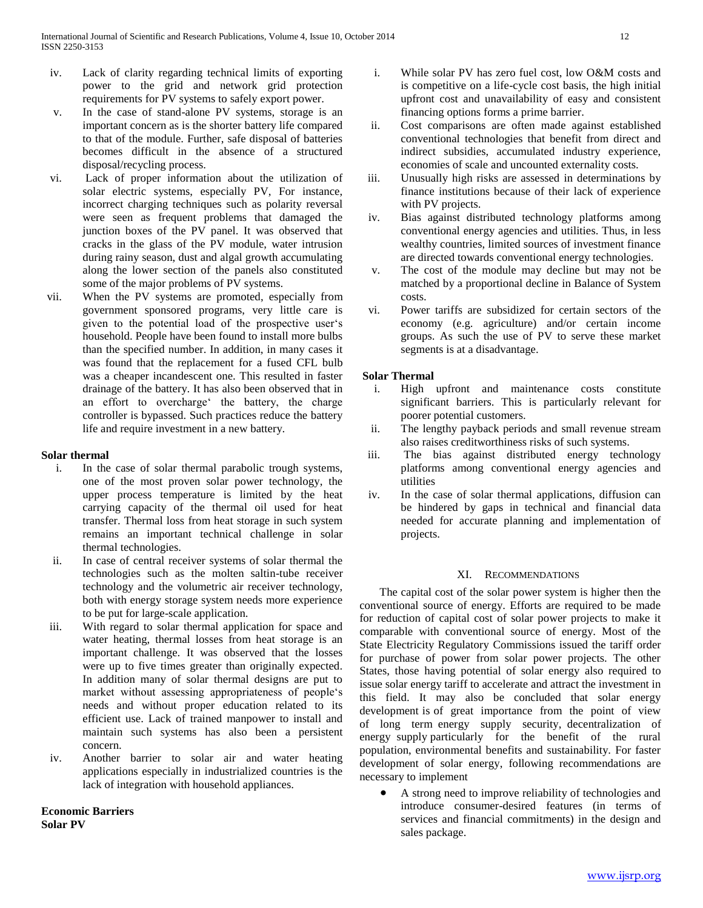- iv. Lack of clarity regarding technical limits of exporting power to the grid and network grid protection requirements for PV systems to safely export power.
- v. In the case of stand-alone PV systems, storage is an important concern as is the shorter battery life compared to that of the module. Further, safe disposal of batteries becomes difficult in the absence of a structured disposal/recycling process.
- vi. Lack of proper information about the utilization of solar electric systems, especially PV, For instance, incorrect charging techniques such as polarity reversal were seen as frequent problems that damaged the junction boxes of the PV panel. It was observed that cracks in the glass of the PV module, water intrusion during rainy season, dust and algal growth accumulating along the lower section of the panels also constituted some of the major problems of PV systems.
- vii. When the PV systems are promoted, especially from government sponsored programs, very little care is given to the potential load of the prospective user"s household. People have been found to install more bulbs than the specified number. In addition, in many cases it was found that the replacement for a fused CFL bulb was a cheaper incandescent one. This resulted in faster drainage of the battery. It has also been observed that in an effort to overcharge" the battery, the charge controller is bypassed. Such practices reduce the battery life and require investment in a new battery.

## **Solar thermal**

- i. In the case of solar thermal parabolic trough systems, one of the most proven solar power technology, the upper process temperature is limited by the heat carrying capacity of the thermal oil used for heat transfer. Thermal loss from heat storage in such system remains an important technical challenge in solar thermal technologies.
- ii. In case of central receiver systems of solar thermal the technologies such as the molten saltin-tube receiver technology and the volumetric air receiver technology, both with energy storage system needs more experience to be put for large-scale application.
- iii. With regard to solar thermal application for space and water heating, thermal losses from heat storage is an important challenge. It was observed that the losses were up to five times greater than originally expected. In addition many of solar thermal designs are put to market without assessing appropriateness of people"s needs and without proper education related to its efficient use. Lack of trained manpower to install and maintain such systems has also been a persistent concern.
- iv. Another barrier to solar air and water heating applications especially in industrialized countries is the lack of integration with household appliances.

## **Economic Barriers Solar PV**

- i. While solar PV has zero fuel cost, low O&M costs and is competitive on a life-cycle cost basis, the high initial upfront cost and unavailability of easy and consistent financing options forms a prime barrier.
- ii. Cost comparisons are often made against established conventional technologies that benefit from direct and indirect subsidies, accumulated industry experience, economies of scale and uncounted externality costs.
- iii. Unusually high risks are assessed in determinations by finance institutions because of their lack of experience with PV projects.
- iv. Bias against distributed technology platforms among conventional energy agencies and utilities. Thus, in less wealthy countries, limited sources of investment finance are directed towards conventional energy technologies.
- v. The cost of the module may decline but may not be matched by a proportional decline in Balance of System costs.
- vi. Power tariffs are subsidized for certain sectors of the economy (e.g. agriculture) and/or certain income groups. As such the use of PV to serve these market segments is at a disadvantage.

# **Solar Thermal**

- i. High upfront and maintenance costs constitute significant barriers. This is particularly relevant for poorer potential customers.
- ii. The lengthy payback periods and small revenue stream also raises creditworthiness risks of such systems.
- iii. The bias against distributed energy technology platforms among conventional energy agencies and utilities
- iv. In the case of solar thermal applications, diffusion can be hindered by gaps in technical and financial data needed for accurate planning and implementation of projects.

# XI. RECOMMENDATIONS

 The capital cost of the solar power system is higher then the conventional source of energy. Efforts are required to be made for reduction of capital cost of solar power projects to make it comparable with conventional source of energy. Most of the State Electricity Regulatory Commissions issued the tariff order for purchase of power from solar power projects. The other States, those having potential of solar energy also required to issue solar energy tariff to accelerate and attract the investment in this field. It may also be concluded that solar energy development is of great importance from the point of view of long term energy supply security, decentralization of energy supply particularly for the benefit of the rural population, environmental benefits and sustainability. For faster development of solar energy, following recommendations are necessary to implement

 A strong need to improve reliability of technologies and introduce consumer-desired features (in terms of services and financial commitments) in the design and sales package.